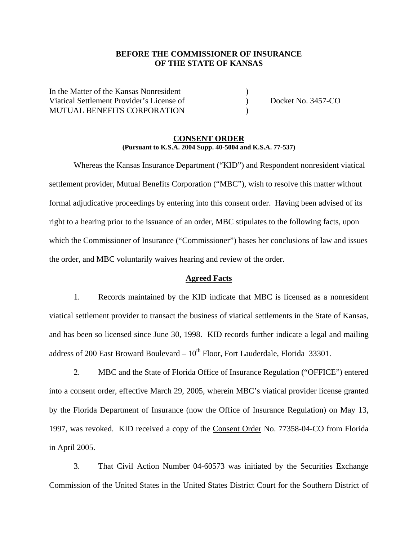## **BEFORE THE COMMISSIONER OF INSURANCE OF THE STATE OF KANSAS**

In the Matter of the Kansas Nonresident ) Viatical Settlement Provider's License of (a) Docket No. 3457-CO MUTUAL BENEFITS CORPORATION )

#### **CONSENT ORDER (Pursuant to K.S.A. 2004 Supp. 40-5004 and K.S.A. 77-537)**

 Whereas the Kansas Insurance Department ("KID") and Respondent nonresident viatical settlement provider, Mutual Benefits Corporation ("MBC"), wish to resolve this matter without formal adjudicative proceedings by entering into this consent order. Having been advised of its right to a hearing prior to the issuance of an order, MBC stipulates to the following facts, upon which the Commissioner of Insurance ("Commissioner") bases her conclusions of law and issues the order, and MBC voluntarily waives hearing and review of the order.

### **Agreed Facts**

1. Records maintained by the KID indicate that MBC is licensed as a nonresident viatical settlement provider to transact the business of viatical settlements in the State of Kansas, and has been so licensed since June 30, 1998. KID records further indicate a legal and mailing address of 200 East Broward Boulevard –  $10^{th}$  Floor, Fort Lauderdale, Florida 33301.

2. MBC and the State of Florida Office of Insurance Regulation ("OFFICE") entered into a consent order, effective March 29, 2005, wherein MBC's viatical provider license granted by the Florida Department of Insurance (now the Office of Insurance Regulation) on May 13, 1997, was revoked. KID received a copy of the Consent Order No. 77358-04-CO from Florida in April 2005.

3. That Civil Action Number 04-60573 was initiated by the Securities Exchange Commission of the United States in the United States District Court for the Southern District of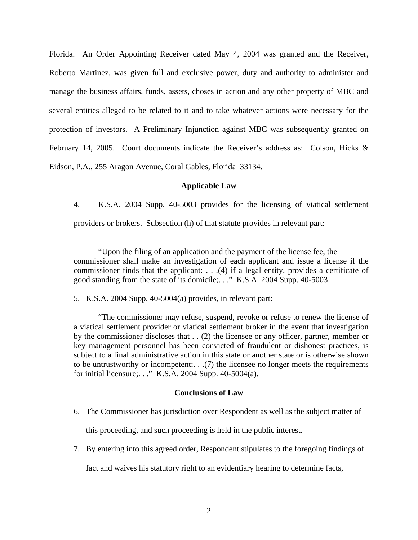Florida. An Order Appointing Receiver dated May 4, 2004 was granted and the Receiver, Roberto Martinez, was given full and exclusive power, duty and authority to administer and manage the business affairs, funds, assets, choses in action and any other property of MBC and several entities alleged to be related to it and to take whatever actions were necessary for the protection of investors. A Preliminary Injunction against MBC was subsequently granted on February 14, 2005. Court documents indicate the Receiver's address as: Colson, Hicks & Eidson, P.A., 255 Aragon Avenue, Coral Gables, Florida 33134.

#### **Applicable Law**

4. K.S.A. 2004 Supp. 40-5003 provides for the licensing of viatical settlement providers or brokers. Subsection (h) of that statute provides in relevant part:

 "Upon the filing of an application and the payment of the license fee, the commissioner shall make an investigation of each applicant and issue a license if the commissioner finds that the applicant: . . .(4) if a legal entity, provides a certificate of good standing from the state of its domicile;. . ." K.S.A. 2004 Supp. 40-5003

5. K.S.A. 2004 Supp. 40-5004(a) provides, in relevant part:

"The commissioner may refuse, suspend, revoke or refuse to renew the license of a viatical settlement provider or viatical settlement broker in the event that investigation by the commissioner discloses that . . (2) the licensee or any officer, partner, member or key management personnel has been convicted of fraudulent or dishonest practices, is subject to a final administrative action in this state or another state or is otherwise shown to be untrustworthy or incompetent;. . .(7) the licensee no longer meets the requirements for initial licensure;. . ." K.S.A. 2004 Supp. 40-5004(a).

#### **Conclusions of Law**

6. The Commissioner has jurisdiction over Respondent as well as the subject matter of

this proceeding, and such proceeding is held in the public interest.

7. By entering into this agreed order, Respondent stipulates to the foregoing findings of

fact and waives his statutory right to an evidentiary hearing to determine facts,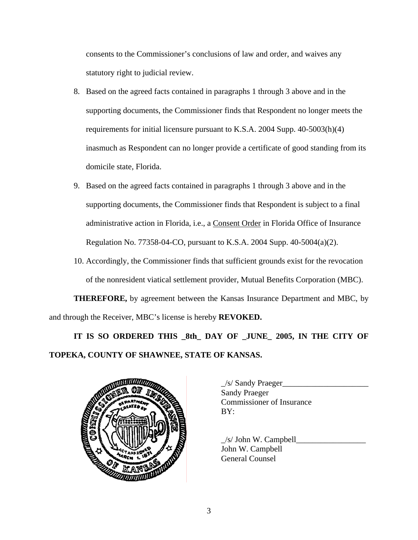consents to the Commissioner's conclusions of law and order, and waives any statutory right to judicial review.

- 8. Based on the agreed facts contained in paragraphs 1 through 3 above and in the supporting documents, the Commissioner finds that Respondent no longer meets the requirements for initial licensure pursuant to K.S.A. 2004 Supp. 40-5003(h)(4) inasmuch as Respondent can no longer provide a certificate of good standing from its domicile state, Florida.
- 9. Based on the agreed facts contained in paragraphs 1 through 3 above and in the supporting documents, the Commissioner finds that Respondent is subject to a final administrative action in Florida, i.e., a Consent Order in Florida Office of Insurance Regulation No. 77358-04-CO, pursuant to K.S.A. 2004 Supp. 40-5004(a)(2).
- 10. Accordingly, the Commissioner finds that sufficient grounds exist for the revocation of the nonresident viatical settlement provider, Mutual Benefits Corporation (MBC).

**THEREFORE,** by agreement between the Kansas Insurance Department and MBC, by and through the Receiver, MBC's license is hereby **REVOKED.**

**IT IS SO ORDERED THIS \_8th\_ DAY OF \_JUNE\_ 2005, IN THE CITY OF TOPEKA, COUNTY OF SHAWNEE, STATE OF KANSAS.** 



| $\angle$ s/ Sandy Praeger        |
|----------------------------------|
| <b>Sandy Praeger</b>             |
| <b>Commissioner of Insurance</b> |
| BY:                              |
|                                  |

 $/s/$  John W. Campbell John W. Campbell General Counsel